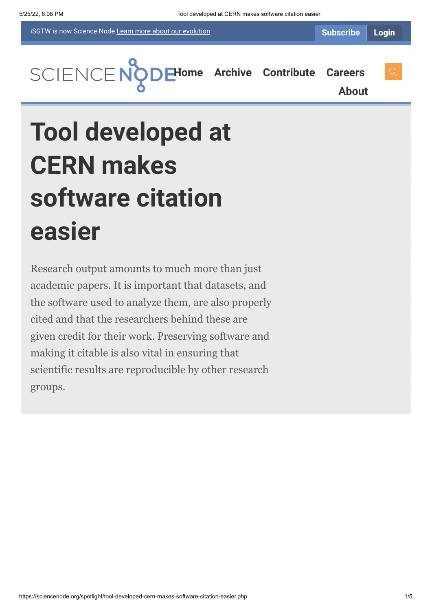iSGTW is now Science Node [Learn more about](https://sciencenode.org/about/index.php#history) our evolution

**[H](https://sciencenode.org/index.php)[ome](https://sciencenode.org/) [Archive](https://sciencenode.org/archive/index.php) [Contribute](https://sciencenode.org/contribute/index.php) [Careers](https://sciencenode.org/careers/index.php)**

**[About](https://sciencenode.org/about/index.php)**

# **Tool developed at CERN makes software citation easier**

Research output amounts to much more than just academic papers. It is important that datasets, and the software used to analyze them, are also properly cited and that the researchers behind these are given credit for their work. Preserving software and making it citable is also vital in ensuring that scientific results are reproducible by other research groups.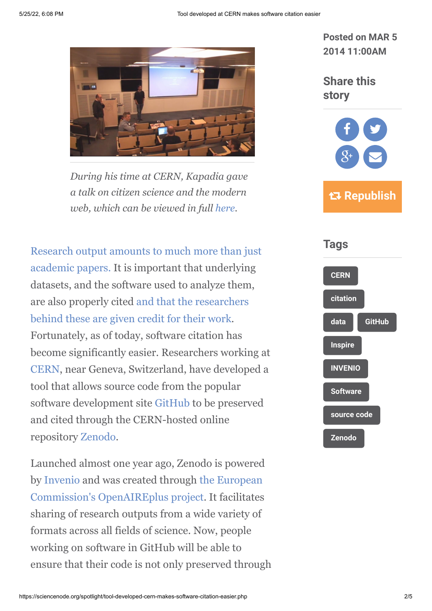

*During his time at CERN, Kapadia gave a talk on citizen science and the modern web, which can be viewed in full [here.](http://cds.cern.ch/record/1648893)*

[Research output amounts to much more than just](http://www.isgtw.org/feature/tracking-scientific-output-across-web) academic papers. It is important that underlying datasets, and the software used to analyze them, [are also properly cited and that the researchers](https://www.google.ch/url?sa=t&rct=j&q=&esrc=s&source=web&cd=1&cad=rja&ved=0CCoQFjAA&url=http%3A%2F%2Fwww.isgtw.org%2Ffeature%2Fstanding-shoulders-software-developers&ei=6N4QU-b0Nur_ygOgnIHwDw&usg=AFQjCNGFnlB7Rq_0e2EkfMMsFn5B8EqYzQ&bvm=bv.62286460,d.bGQ) behind these are given credit for their work. Fortunately, as of today, software citation has become significantly easier. Researchers working at [CERN](http://cern.ch/), near Geneva, Switzerland, have developed a tool that allows source code from the popular software development site [GitHub](https://github.com/) to be preserved and cited through the CERN-hosted online repository [Zenodo.](https://zenodo.org/)

Launched almost one year ago, Zenodo is powered [by I](http://ec.europa.eu/index_en.htm)[nveni](https://invenio-software.org/)[o and was created through the European](http://ec.europa.eu/index_en.htm) Commission's [OpenAIREplus project.](http://www.openaire.eu/en/component/content/article/76-highlights/326-openaireplus-press-release) It facilitates sharing of research outputs from a wide variety of formats across all fields of science. Now, people working on software in GitHub will be able to ensure that their code is not only preserved through **Posted on MAR 5 2014 11:00AM**

**Share this story**



 **Republish**

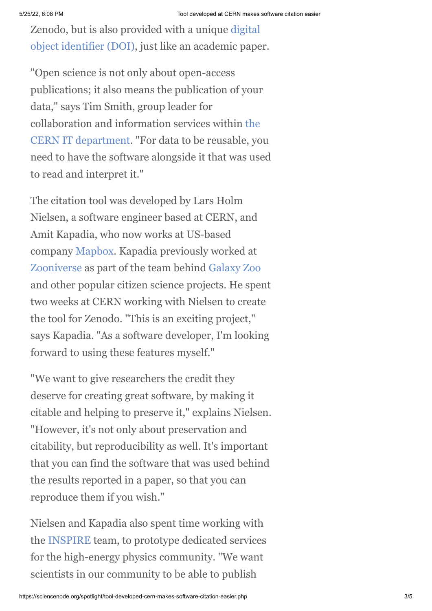Zenodo, but is also provided with a unique digital [object identifier \(DOI\), just like an academic pape](http://www.doi.org/)r.

"Open science is not only about open-access publications; it also means the publication of your data," says Tim Smith, group leader for [collaboration and information services within the](http://information-technology.web.cern.ch/) CERN IT department. "For data to be reusable, you need to have the software alongside it that was used to read and interpret it."

The citation tool was developed by Lars Holm Nielsen, a software engineer based at CERN, and Amit Kapadia, who now works at US-based company [Mapbox.](https://www.mapbox.com/) Kapadia previously worked at [Zooniverse](https://www.zooniverse.org/) as part of the team behind [Galaxy Zoo](http://www.galaxyzoo.org/?utm_source=Zooniverse%20Home&utm_medium=Web&utm_campaign=Homepage%20Catalogue) and other popular citizen science projects. He spent two weeks at CERN working with Nielsen to create the tool for Zenodo. "This is an exciting project," says Kapadia. "As a software developer, I'm looking forward to using these features myself."

"We want to give researchers the credit they deserve for creating great software, by making it citable and helping to preserve it," explains Nielsen. "However, it's not only about preservation and citability, but reproducibility as well. It's important that you can find the software that was used behind the results reported in a paper, so that you can reproduce them if you wish."

Nielsen and Kapadia also spent time working with the [INSPIRE](http://inspirehep.net/) team, to prototype dedicated services for the high-energy physics community. "We want scientists in our community to be able to publish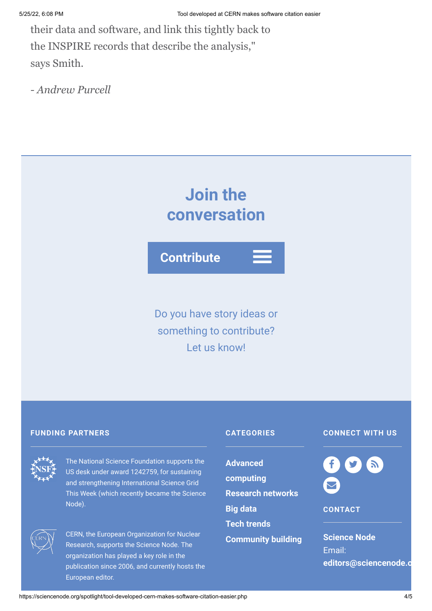their data and software, and link this tightly back to the INSPIRE records that describe the analysis," says Smith.

*- Andrew Purcell*

## **Join the conversation**

**Contribute**

Do you have story ideas or something to contribute? Let us know!

#### **FUNDING PARTNERS CATEGORIES**



The National Science Foundation supports the US desk under award 1242759, for sustaining and strengthening International Science Grid This Week (which recently became the Science Node).



CERN, the European Organization for Nuclear Research, supports the Science Node. The organization has played a key role in the publication since 2006, and currently hosts the European editor.

**Advanced [computing](https://sciencenode.org/archive/?year=2015&category=Advanced%20computing) [Research networks](https://sciencenode.org/archive/?year=2015&category=Advanced%20computing&category=Research%20networks) [Big data](https://sciencenode.org/archive/?year=2015&category=Advanced%20computing&category=Research%20networks&category=Big%20data) [Tech trends](https://sciencenode.org/archive/?year=2015&category=Advanced%20computing&category=Research%20networks&category=Big%20data&category=Tech%20trends) [Community building](https://sciencenode.org/archive/?year=2015&category=Advanced%20computing&category=Research%20networks&category=Big%20data&category=Tech%20trends&category=Community%20building)**

### **CONNECT WITH US**



**CONTACT**

**Science Node** Email: **[editors@sciencenode.o](mailto:edit%6F%72s@s%63%69encenode.%6F%72%67)**